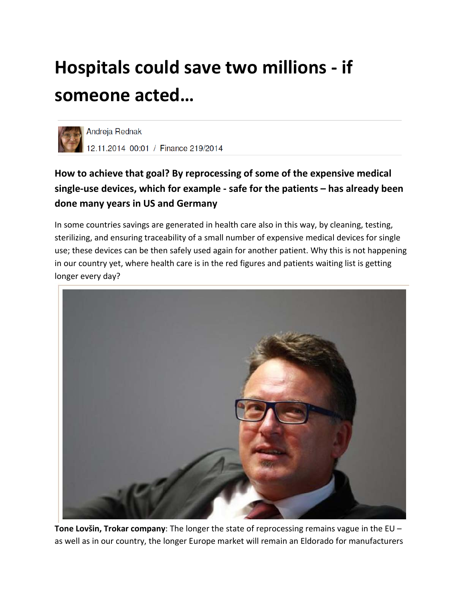# **Hospitals could save two millions - if someone acted…**



# **How to achieve that goal? By reprocessing of some of the expensive medical single-use devices, which for example - safe for the patients – has already been done many years in US and Germany**

In some countries savings are generated in health care also in this way, by cleaning, testing, sterilizing, and ensuring traceability of a small number of expensive medical devices for single use; these devices can be then safely used again for another patient. Why this is not happening in our country yet, where health care is in the red figures and patients waiting list is getting longer every day?



**Tone Lovšin, Trokar company**: The longer the state of reprocessing remains vague in the EU – as well as in our country, the longer Europe market will remain an Eldorado for manufacturers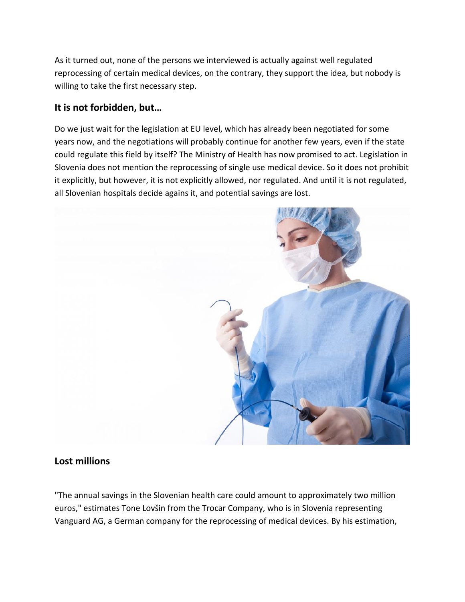As it turned out, none of the persons we interviewed is actually against well regulated reprocessing of certain medical devices, on the contrary, they support the idea, but nobody is willing to take the first necessary step.

#### **It is not forbidden, but…**

Do we just wait for the legislation at EU level, which has already been negotiated for some years now, and the negotiations will probably continue for another few years, even if the state could regulate this field by itself? The Ministry of Health has now promised to act. Legislation in Slovenia does not mention the reprocessing of single use medical device. So it does not prohibit it explicitly, but however, it is not explicitly allowed, nor regulated. And until it is not regulated, all Slovenian hospitals decide agains it, and potential savings are lost.



#### **Lost millions**

"The annual savings in the Slovenian health care could amount to approximately two million euros," estimates Tone Lovšin from the Trocar Company, who is in Slovenia representing Vanguard AG, a German company for the reprocessing of medical devices. By his estimation,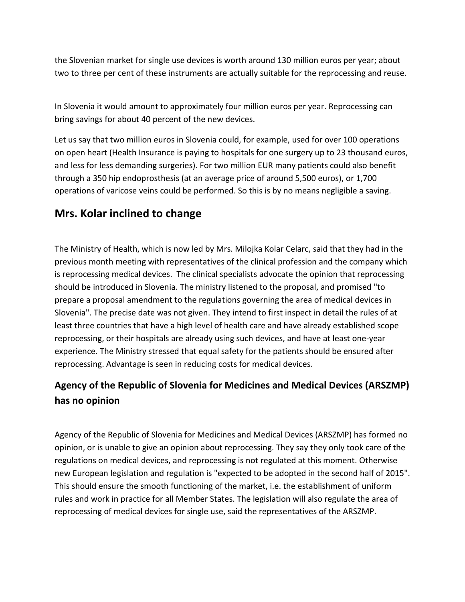the Slovenian market for single use devices is worth around 130 million euros per year; about two to three per cent of these instruments are actually suitable for the reprocessing and reuse.

In Slovenia it would amount to approximately four million euros per year. Reprocessing can bring savings for about 40 percent of the new devices.

Let us say that two million euros in Slovenia could, for example, used for over 100 operations on open heart (Health Insurance is paying to hospitals for one surgery up to 23 thousand euros, and less for less demanding surgeries). For two million EUR many patients could also benefit through a 350 hip endoprosthesis (at an average price of around 5,500 euros), or 1,700 operations of varicose veins could be performed. So this is by no means negligible a saving.

## **Mrs. Kolar inclined to change**

The Ministry of Health, which is now led by Mrs. Milojka Kolar Celarc, said that they had in the previous month meeting with representatives of the clinical profession and the company which is reprocessing medical devices. The clinical specialists advocate the opinion that reprocessing should be introduced in Slovenia. The ministry listened to the proposal, and promised "to prepare a proposal amendment to the regulations governing the area of medical devices in Slovenia". The precise date was not given. They intend to first inspect in detail the rules of at least three countries that have a high level of health care and have already established scope reprocessing, or their hospitals are already using such devices, and have at least one-year experience. The Ministry stressed that equal safety for the patients should be ensured after reprocessing. Advantage is seen in reducing costs for medical devices.

## **Agency of the Republic of Slovenia for Medicines and Medical Devices (ARSZMP) has no opinion**

Agency of the Republic of Slovenia for Medicines and Medical Devices (ARSZMP) has formed no opinion, or is unable to give an opinion about reprocessing. They say they only took care of the regulations on medical devices, and reprocessing is not regulated at this moment. Otherwise new European legislation and regulation is "expected to be adopted in the second half of 2015". This should ensure the smooth functioning of the market, i.e. the establishment of uniform rules and work in practice for all Member States. The legislation will also regulate the area of reprocessing of medical devices for single use, said the representatives of the ARSZMP.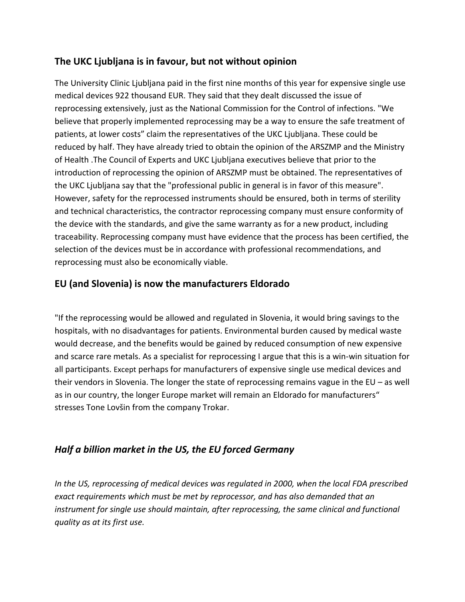### **The UKC Ljubljana is in favour, but not without opinion**

The University Clinic Ljubljana paid in the first nine months of this year for expensive single use medical devices 922 thousand EUR. They said that they dealt discussed the issue of reprocessing extensively, just as the National Commission for the Control of infections. "We believe that properly implemented reprocessing may be a way to ensure the safe treatment of patients, at lower costs" claim the representatives of the UKC Ljubljana. These could be reduced by half. They have already tried to obtain the opinion of the ARSZMP and the Ministry of Health .The Council of Experts and UKC Ljubljana executives believe that prior to the introduction of reprocessing the opinion of ARSZMP must be obtained. The representatives of the UKC Ljubljana say that the "professional public in general is in favor of this measure". However, safety for the reprocessed instruments should be ensured, both in terms of sterility and technical characteristics, the contractor reprocessing company must ensure conformity of the device with the standards, and give the same warranty as for a new product, including traceability. Reprocessing company must have evidence that the process has been certified, the selection of the devices must be in accordance with professional recommendations, and reprocessing must also be economically viable.

## **EU (and Slovenia) is now the manufacturers Eldorado**

"If the reprocessing would be allowed and regulated in Slovenia, it would bring savings to the hospitals, with no disadvantages for patients. Environmental burden caused by medical waste would decrease, and the benefits would be gained by reduced consumption of new expensive and scarce rare metals. As a specialist for reprocessing I argue that this is a win-win situation for all participants. Except perhaps for manufacturers of expensive single use medical devices and their vendors in Slovenia. The longer the state of reprocessing remains vague in the EU – as well as in our country, the longer Europe market will remain an Eldorado for manufacturers" stresses Tone Lovšin from the company Trokar.

#### *Half a billion market in the US, the EU forced Germany*

*In the US, reprocessing of medical devices was regulated in 2000, when the local FDA prescribed exact requirements which must be met by reprocessor, and has also demanded that an instrument for single use should maintain, after reprocessing, the same clinical and functional quality as at its first use.*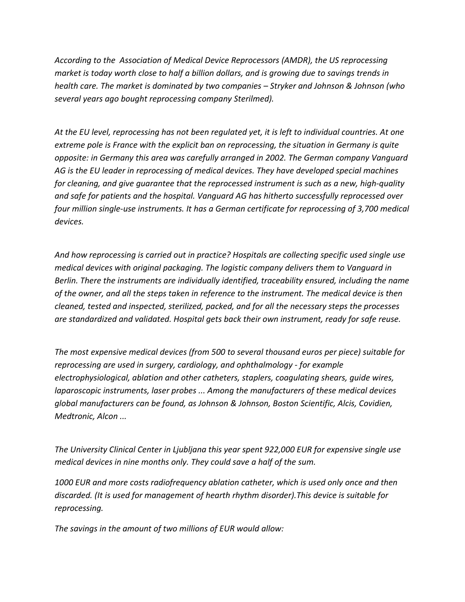*According to the Association of Medical Device Reprocessors (AMDR), the US reprocessing market is today worth close to half a billion dollars, and is growing due to savings trends in health care. The market is dominated by two companies – Stryker and Johnson & Johnson (who several years ago bought reprocessing company Sterilmed).*

*At the EU level, reprocessing has not been regulated yet, it is left to individual countries. At one extreme pole is France with the explicit ban on reprocessing, the situation in Germany is quite opposite: in Germany this area was carefully arranged in 2002. The German company Vanguard AG is the EU leader in reprocessing of medical devices. They have developed special machines for cleaning, and give guarantee that the reprocessed instrument is such as a new, high-quality and safe for patients and the hospital. Vanguard AG has hitherto successfully reprocessed over four million single-use instruments. It has a German certificate for reprocessing of 3,700 medical devices.*

*And how reprocessing is carried out in practice? Hospitals are collecting specific used single use medical devices with original packaging. The logistic company delivers them to Vanguard in Berlin. There the instruments are individually identified, traceability ensured, including the name of the owner, and all the steps taken in reference to the instrument. The medical device is then cleaned, tested and inspected, sterilized, packed, and for all the necessary steps the processes are standardized and validated. Hospital gets back their own instrument, ready for safe reuse.*

*The most expensive medical devices (from 500 to several thousand euros per piece) suitable for reprocessing are used in surgery, cardiology, and ophthalmology - for example electrophysiological, ablation and other catheters, staplers, coagulating shears, guide wires, laparoscopic instruments, laser probes ... Among the manufacturers of these medical devices global manufacturers can be found, as Johnson & Johnson, Boston Scientific, Alcis, Covidien, Medtronic, Alcon ...*

*The University Clinical Center in Ljubljana this year spent 922,000 EUR for expensive single use medical devices in nine months only. They could save a half of the sum.*

*1000 EUR and more costs radiofrequency ablation catheter, which is used only once and then discarded. (It is used for management of hearth rhythm disorder).This device is suitable for reprocessing.*

*The savings in the amount of two millions of EUR would allow:*